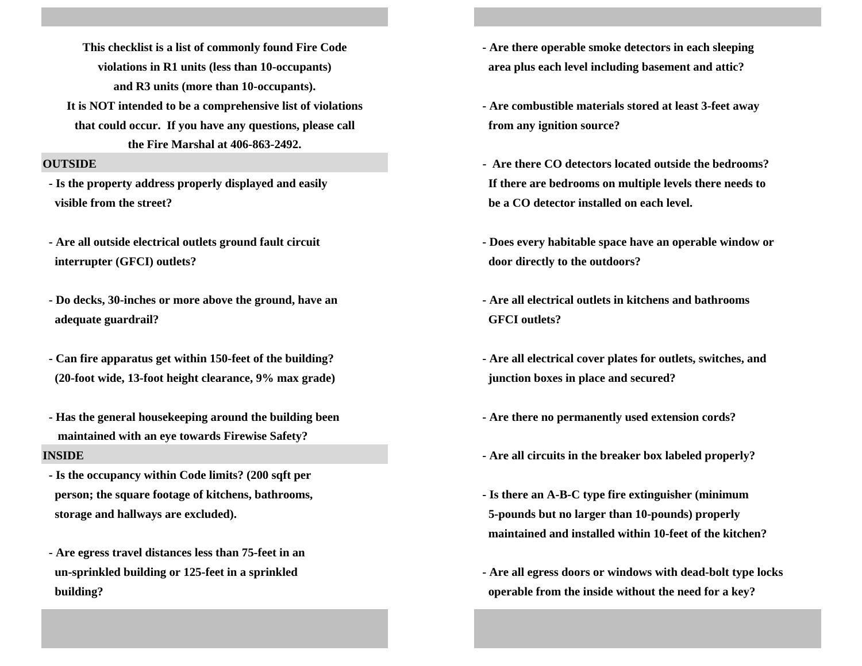**and R3 units (more than 10-occupants).**

**that could occur. If you have any questions, please call from any ignition source? the Fire Marshal at 406-863-2492.**

 **visible from the street? be a CO detector installed on each level.** 

 **interrupter (GFCI) outlets? door directly to the outdoors?**

**- Do decks, 30-inches or more above the ground, have an - Are all electrical outlets in kitchens and bathrooms adequate guardrail? GFCI outlets?**

- **(20-foot wide, 13-foot height clearance, 9% max grade) junction boxes in place and secured?**
- **Has the general housekeeping around the building been Are there no permanently used extension cords? maintained with an eye towards Firewise Safety?**

- **Is the occupancy within Code limits? (200 sqft per person; the square footage of kitchens, bathrooms, the square is square footage of kitchens, bathrooms, the square is square footage of kitchens, bathrooms, the square is square footage of kitchens, bathrooms, the square**
- **Are egress travel distances less than 75-feet in an**
- **violations in R1 units (less than 10-occupants) area plus each level including basement and attic? This checklist is a list of commonly found Fire Code - Are there operable smoke detectors in each sleeping**
- **It is NOT intended to be a comprehensive list of violations Are combustible materials stored at least 3-feet away**
- **OUTSIDE - Is the property address properly displayed and easily If there are bedrooms on multiple levels there needs to**
- **Are all outside electrical outlets ground fault circuit Does every habitable space have an operable window or**
	-
- **Can fire apparatus get within 150-feet of the building? Are all electrical cover plates for outlets, switches, and**
	-
- **INSIDE INSIDE** *INSIDE INSIDE INSIDE PHOTOSIC <b><i>Integral of the breaker box labeled properly?* 
	- **storage and hallways are excluded). 5-pounds but no larger than 10-pounds) properly maintained and installed within 10-feet of the kitchen?**
	- **un-sprinkled building or 125-feet in a sprinkled Are all egress doors or windows with dead-bolt type locks building? operable from the inside without the need for a key?**